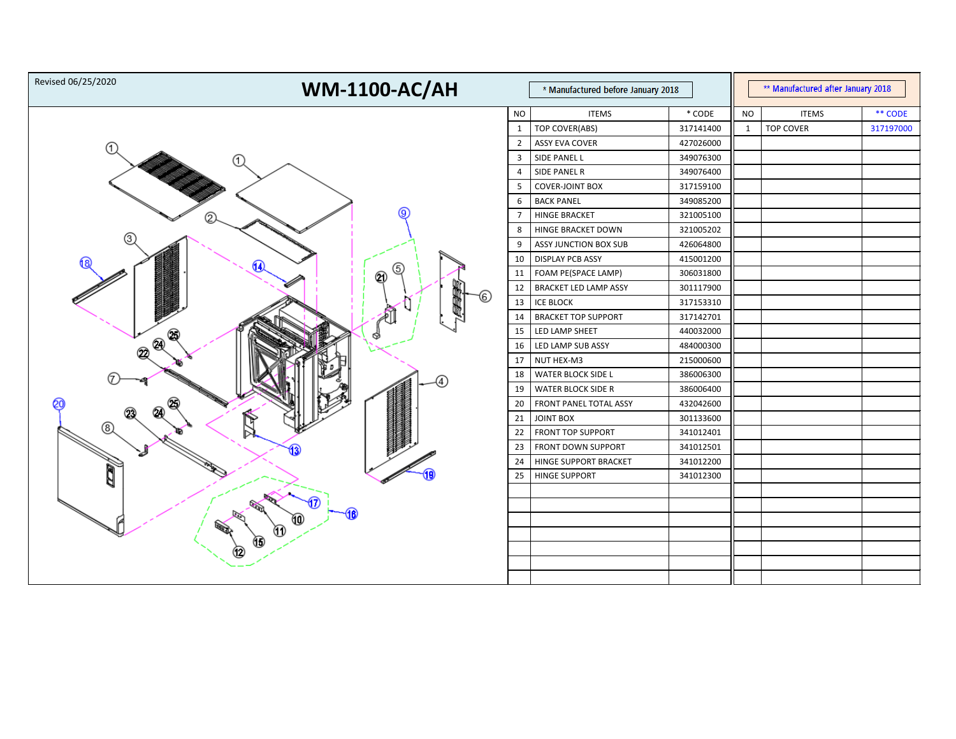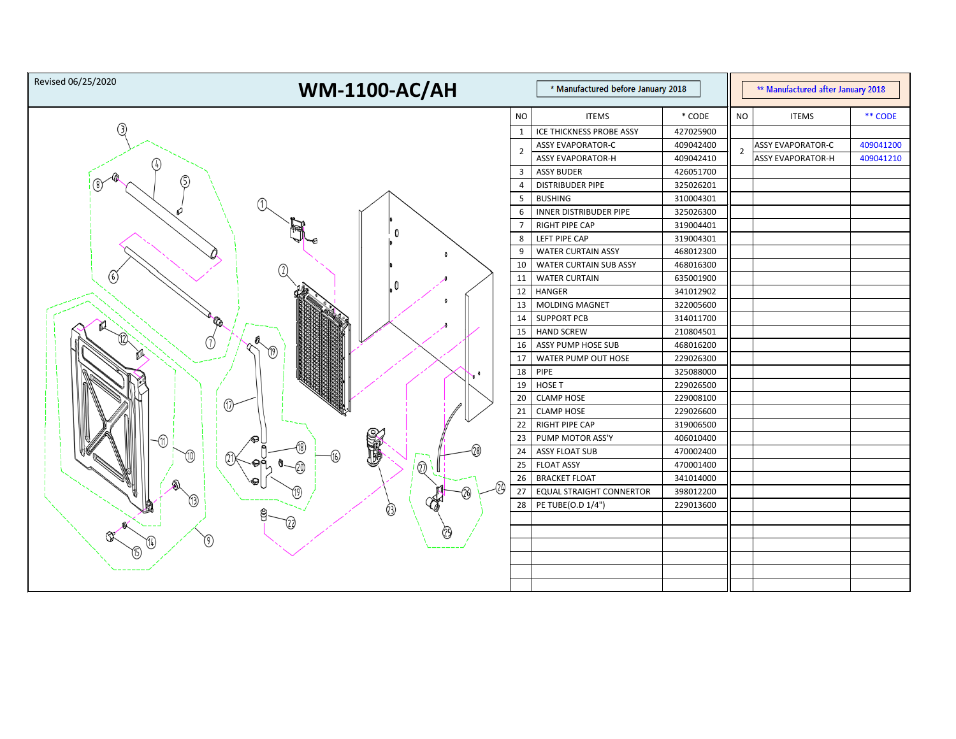| Revised 06/25/2020<br><b>WM-1100-AC/AH</b> |                 | * Manufactured before January 2018 |           |                | ** Manufactured after January 2018 |           |
|--------------------------------------------|-----------------|------------------------------------|-----------|----------------|------------------------------------|-----------|
|                                            | <b>NO</b>       | <b>ITEMS</b>                       | * CODE    | <b>NO</b>      | <b>ITEMS</b>                       | ** CODE   |
| 3)                                         |                 | ICE THICKNESS PROBE ASSY           | 427025900 |                |                                    |           |
|                                            | 2               | <b>ASSY EVAPORATOR-C</b>           | 409042400 | $\overline{2}$ | <b>ASSY EVAPORATOR-C</b>           | 409041200 |
|                                            |                 | <b>ASSY EVAPORATOR-H</b>           | 409042410 |                | <b>ASSY EVAPORATOR-H</b>           | 409041210 |
|                                            | 3               | <b>ASSY BUDER</b>                  | 426051700 |                |                                    |           |
| ⑤                                          | $\overline{4}$  | <b>DISTRIBUDER PIPE</b>            | 325026201 |                |                                    |           |
|                                            | 5               | <b>BUSHING</b>                     | 310004301 |                |                                    |           |
|                                            | 6               | <b>INNER DISTRIBUDER PIPE</b>      | 325026300 |                |                                    |           |
|                                            |                 | <b>RIGHT PIPE CAP</b>              | 319004401 |                |                                    |           |
|                                            | 8               | LEFT PIPE CAP                      | 319004301 |                |                                    |           |
|                                            | 9               | <b>WATER CURTAIN ASSY</b>          | 468012300 |                |                                    |           |
|                                            | 10              | <b>WATER CURTAIN SUB ASSY</b>      | 468016300 |                |                                    |           |
| 6                                          | 11              | <b>WATER CURTAIN</b>               | 635001900 |                |                                    |           |
|                                            | 12              | <b>HANGER</b>                      | 341012902 |                |                                    |           |
|                                            | 13              | MOLDING MAGNET                     | 322005600 |                |                                    |           |
| <b>Co</b>                                  | 14              | <b>SUPPORT PCB</b>                 | 314011700 |                |                                    |           |
|                                            | 15              | <b>HAND SCREW</b>                  | 210804501 |                |                                    |           |
| ℚ                                          | 16              | ASSY PUMP HOSE SUB                 | 468016200 |                |                                    |           |
|                                            | 17              | WATER PUMP OUT HOSE                | 229026300 |                |                                    |           |
|                                            | 18              | PIPE                               | 325088000 |                |                                    |           |
|                                            | 19              | HOSE T                             | 229026500 |                |                                    |           |
| ⋒                                          | 20              | <b>CLAMP HOSE</b>                  | 229008100 |                |                                    |           |
|                                            | 21              | <b>CLAMP HOSE</b>                  | 229026600 |                |                                    |           |
|                                            | 22              | <b>RIGHT PIPE CAP</b>              | 319006500 |                |                                    |           |
|                                            | 23              | PUMP MOTOR ASS'Y                   | 406010400 |                |                                    |           |
| STAR                                       | 24              | <b>ASSY FLOAT SUB</b>              | 470002400 |                |                                    |           |
| $\overline{\mathbb{Q}}$                    | 25              | <b>FLOAT ASSY</b>                  | 470001400 |                |                                    |           |
|                                            | 26              | <b>BRACKET FLOAT</b>               | 341014000 |                |                                    |           |
| ঞ<br>(19)                                  | 27 <sup>1</sup> | <b>EQUAL STRAIGHT CONNERTOR</b>    | 398012200 |                |                                    |           |
|                                            | 28              | PE TUBE(O.D 1/4")                  | 229013600 |                |                                    |           |
| පු<br>722)                                 |                 |                                    |           |                |                                    |           |
| 29                                         |                 |                                    |           |                |                                    |           |
| $\left( 9\right)$                          |                 |                                    |           |                |                                    |           |
|                                            |                 |                                    |           |                |                                    |           |
|                                            |                 |                                    |           |                |                                    |           |
|                                            |                 |                                    |           |                |                                    |           |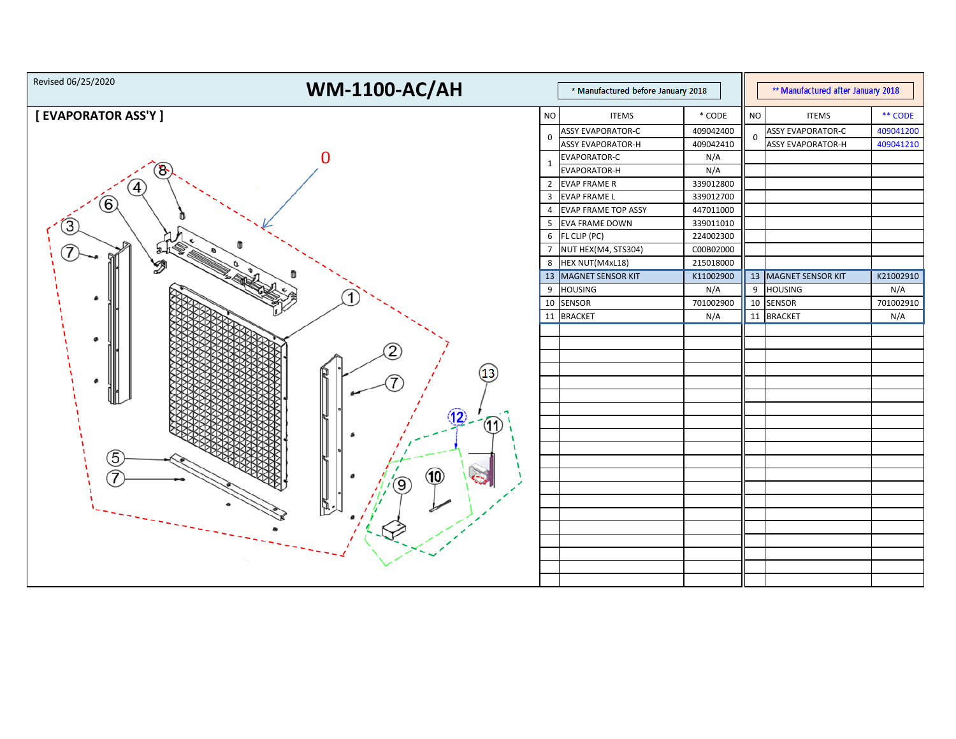| Revised 06/25/2020<br><b>WM-1100-AC/AH</b><br>* Manufactured before January 2018 |                |                            |           | ** Manufactured after January 2018 |                          |           |
|----------------------------------------------------------------------------------|----------------|----------------------------|-----------|------------------------------------|--------------------------|-----------|
| [ EVAPORATOR ASS'Y ]                                                             | <b>NO</b>      | <b>ITEMS</b>               | $*$ CODE  | <b>NO</b>                          | <b>ITEMS</b>             | ** CODE   |
|                                                                                  |                | <b>ASSY EVAPORATOR-C</b>   | 409042400 |                                    | <b>ASSY EVAPORATOR-C</b> | 409041200 |
|                                                                                  | 0              | <b>ASSY EVAPORATOR-H</b>   | 409042410 | 0                                  | <b>ASSY EVAPORATOR-H</b> | 409041210 |
|                                                                                  |                | EVAPORATOR-C               | N/A       |                                    |                          |           |
|                                                                                  | -1             | EVAPORATOR-H               | N/A       |                                    |                          |           |
|                                                                                  | $\overline{2}$ | <b>EVAP FRAME R</b>        | 339012800 |                                    |                          |           |
|                                                                                  |                | 3 EVAP FRAME L             | 339012700 |                                    |                          |           |
| $\left( 6\right)$                                                                | 4              | <b>EVAP FRAME TOP ASSY</b> | 447011000 |                                    |                          |           |
|                                                                                  | 5              | <b>EVA FRAME DOWN</b>      | 339011010 |                                    |                          |           |
|                                                                                  | 6              | FL CLIP (PC)               | 224002300 |                                    |                          |           |
|                                                                                  | $\overline{7}$ | NUT HEX(M4, STS304)        | C00B02000 |                                    |                          |           |
| Ø                                                                                | 8              | HEX NUT(M4xL18)            | 215018000 |                                    |                          |           |
|                                                                                  |                | 13 MAGNET SENSOR KIT       | K11002900 |                                    | 13 MAGNET SENSOR KIT     | K21002910 |
|                                                                                  | 9              | <b>HOUSING</b>             | N/A       | 9                                  | HOUSING                  | N/A       |
| ø.                                                                               |                | 10 SENSOR                  | 701002900 |                                    | 10 SENSOR                | 701002910 |
|                                                                                  |                | 11 BRACKET                 | N/A       |                                    | 11 BRACKET               | N/A       |
|                                                                                  |                |                            |           |                                    |                          |           |
|                                                                                  |                |                            |           |                                    |                          |           |
|                                                                                  |                |                            |           |                                    |                          |           |
| (13)                                                                             |                |                            |           |                                    |                          |           |
|                                                                                  |                |                            |           |                                    |                          |           |
|                                                                                  |                |                            |           |                                    |                          |           |
|                                                                                  |                |                            |           |                                    |                          |           |
| (12)<br>11)                                                                      |                |                            |           |                                    |                          |           |
|                                                                                  |                |                            |           |                                    |                          |           |
|                                                                                  |                |                            |           |                                    |                          |           |
| 5                                                                                |                |                            |           |                                    |                          |           |
| (10)                                                                             |                |                            |           |                                    |                          |           |
|                                                                                  |                |                            |           |                                    |                          |           |
|                                                                                  |                |                            |           |                                    |                          |           |
|                                                                                  |                |                            |           |                                    |                          |           |
|                                                                                  |                |                            |           |                                    |                          |           |
|                                                                                  |                |                            |           |                                    |                          |           |
|                                                                                  |                |                            |           |                                    |                          |           |
|                                                                                  |                |                            |           |                                    |                          |           |
|                                                                                  |                |                            |           |                                    |                          |           |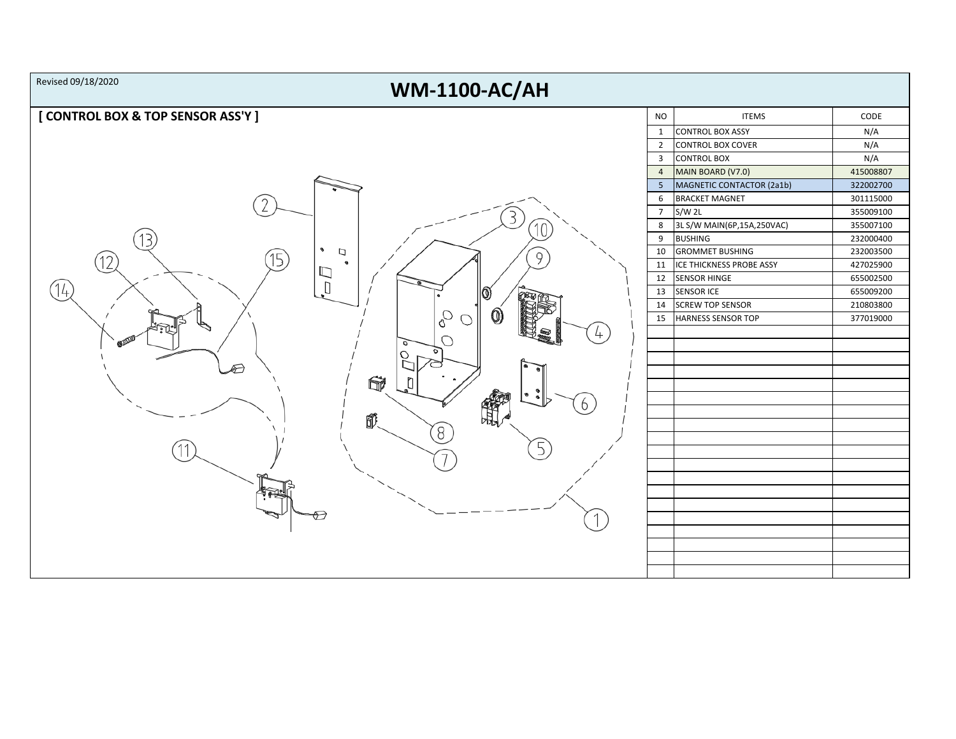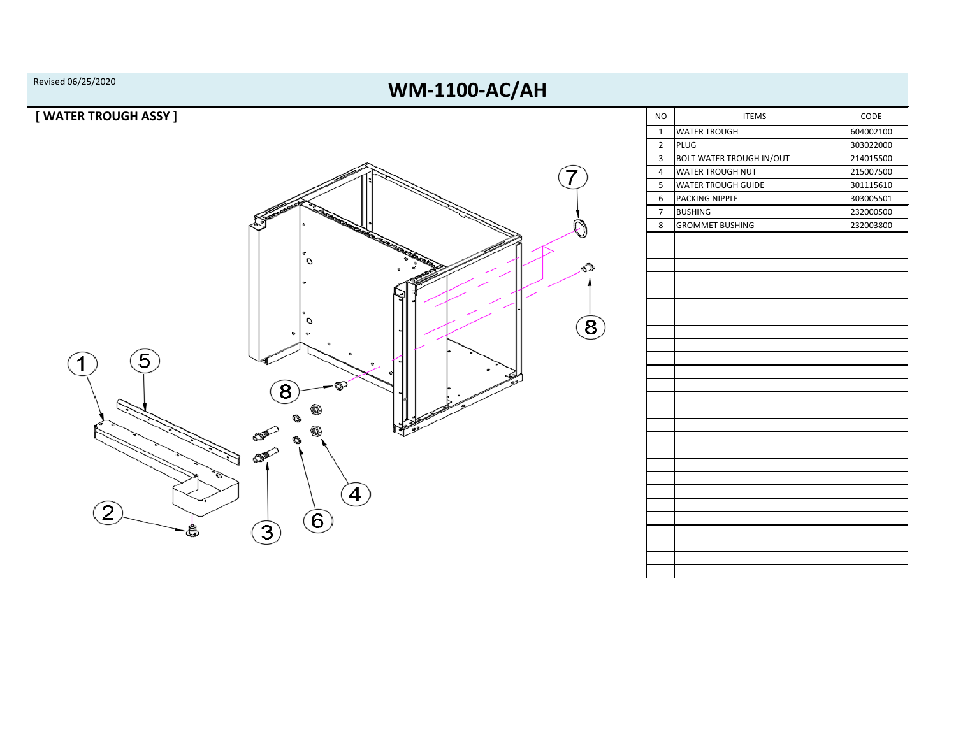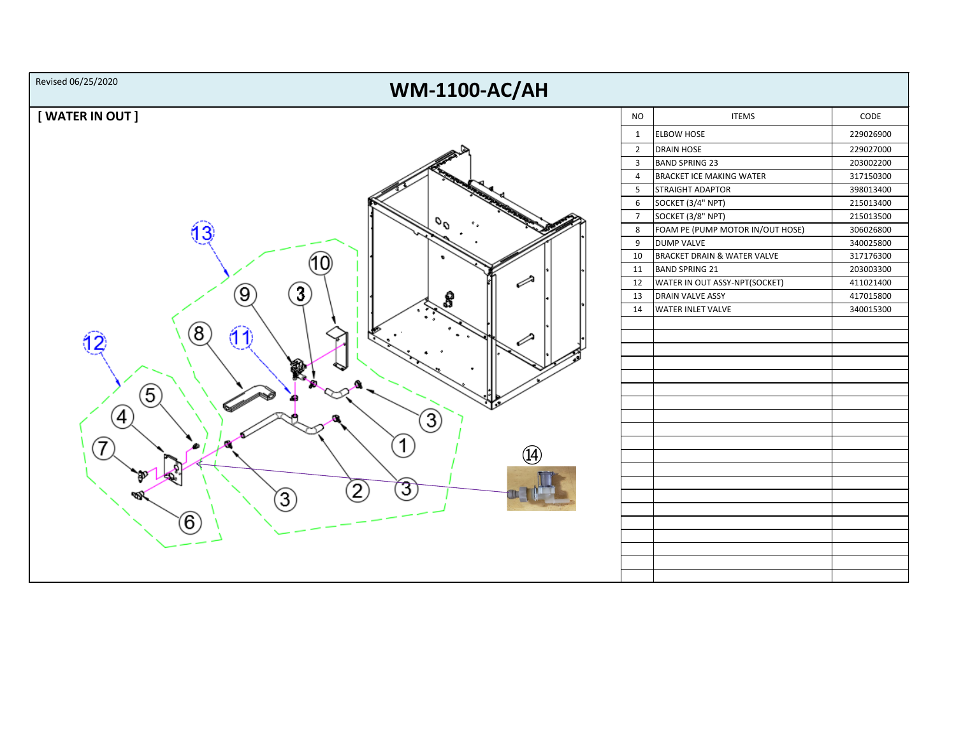